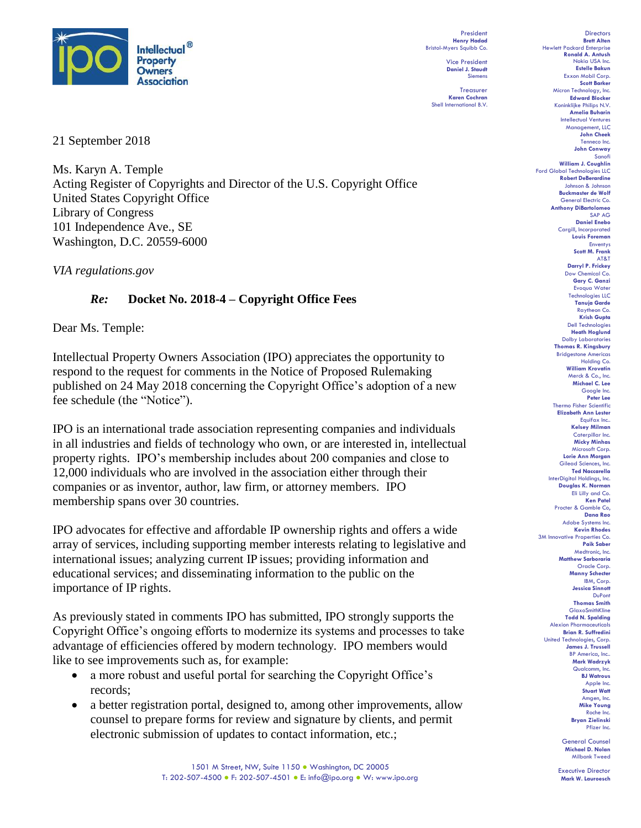

President **Henry Hadad** Bristol-Myers Squibb Co.

**Daniel J. Staudt** Siemens Treasurer **Karen Cochran** Shell International B.V.

Vice President

21 September 2018

Ms. Karyn A. Temple Acting Register of Copyrights and Director of the U.S. Copyright Office United States Copyright Office Library of Congress 101 Independence Ave., SE Washington, D.C. 20559-6000

*VIA regulations.gov* 

## *Re:* **Docket No. 2018-4 – Copyright Office Fees**

Dear Ms. Temple:

Intellectual Property Owners Association (IPO) appreciates the opportunity to respond to the request for comments in the Notice of Proposed Rulemaking published on 24 May 2018 concerning the Copyright Office's adoption of a new fee schedule (the "Notice").

IPO is an international trade association representing companies and individuals in all industries and fields of technology who own, or are interested in, intellectual property rights. IPO's membership includes about 200 companies and close to 12,000 individuals who are involved in the association either through their companies or as inventor, author, law firm, or attorney members. IPO membership spans over 30 countries.

IPO advocates for effective and affordable IP ownership rights and offers a wide array of services, including supporting member interests relating to legislative and international issues; analyzing current IP issues; providing information and educational services; and disseminating information to the public on the importance of IP rights.

As previously stated in comments IPO has submitted, IPO strongly supports the Copyright Office's ongoing efforts to modernize its systems and processes to take advantage of efficiencies offered by modern technology. IPO members would like to see improvements such as, for example:

- a more robust and useful portal for searching the Copyright Office's records;
- a better registration portal, designed to, among other improvements, allow counsel to prepare forms for review and signature by clients, and permit electronic submission of updates to contact information, etc.;

**Brett Alten** Hewlett Packard Enterprise **Ronald A. Antush** Nokia USA Inc. **Estelle Bakun** Exxon Mobil Corp. **Scott Barker** Micron Technology, Inc. **Edward Blocker** Koninklijke Philips N.V. **Amelia Buharin** Intellectual Ventures Management, LLC **John Cheek** Tenneco Inc. **John Conway** Sanofi **William J. Coughlin** Ford Global Technologies LLC **Robert DeBerardine** Johnson & Johnson **Buckmaster de Wolf** General Electric Co. **Anthony DiBartolomeo** SAP AG **Daniel Enebo** Cargill, Incorporated **Louis Foreman** Enventys **Scott M. Frank** AT&T **Darryl P. Frickey** Dow Chemical Co. **Gary C. Ganzi** Evoqua Water Technologies LLC **Tanuja Garde** Raytheon Co. **Krish Gupta** Dell Technologies **Heath Hoglund** Dolby Laboratories **Thomas R. Kingsbury** Bridgestone Americas Holding Co. **William Krovatin** Merck & Co., Inc. **Michael C. Lee** Google Inc. **Peter Lee** Thermo Fisher Scientific **Elizabeth Ann Lester** Equifax Inc.. **Kelsey Milman** Caterpillar Inc. **Micky Minhas** Microsoft Corp. **Lorie Ann Morgan** Gilead Sciences, Inc. **Ted Naccarella** InterDigital Holdings, Inc. **Douglas K. Norman** Eli Lilly and Co. **Ken Patel** Procter & Gamble Co, **Dana Rao** Adobe Systems Inc. **Kevin Rhodes** 3M Innovative Properties Co. **Paik Saber** Medtronic, Inc. **Matthew Sarboraria** Oracle Corp. **Manny Schecter** IBM, Corp. **Jessica Sinnott** DuPont **Thomas Smith** GlaxoSmithKline **Todd N. Spalding** Alexion Pharmaceuticals **Brian R. Suffredini** United Technologies, Corp. **James J. Trussell** BP America, Inc.. **Mark Wadrzyk** Qualcomm, Inc. **BJ Watrous** Apple Inc. **Stuart Watt** Amgen, Inc. **Mike Young** Roche Inc. **Bryan Zielinski**

Directors

General Counsel **Michael D. Nolan** Milbank Tweed

Pfizer Inc.

Executive Director **Mark W. Lauroesch**